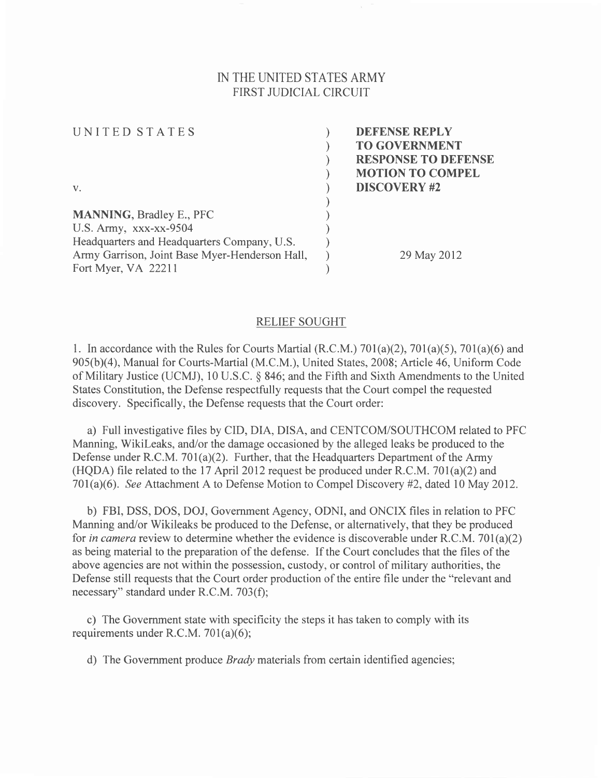## IN THE UNITED STATES ARMY FIRST JUDICIAL CIRCUIT

| UNITED STATES                                  | <b>DEFENSE REPLY</b><br><b>TO GOVERNMENT</b><br><b>RESPONSE TO DEFENSE</b><br><b>MOTION TO COMPEL</b> |
|------------------------------------------------|-------------------------------------------------------------------------------------------------------|
| $V_{\star}$                                    | <b>DISCOVERY #2</b>                                                                                   |
| <b>MANNING, Bradley E., PFC</b>                |                                                                                                       |
| U.S. Army, xxx-xx-9504                         |                                                                                                       |
| Headquarters and Headquarters Company, U.S.    |                                                                                                       |
| Army Garrison, Joint Base Myer-Henderson Hall, | 29 May 2012                                                                                           |
| Fort Myer, VA 22211                            |                                                                                                       |

#### RELIEF SOUGHT

1. In accordance with the Rules for Courts Martial (R.C.M.) 701(a)(2),701(a)(5),701(a)(6) and 905(b)(4), Manual for Courts-Martial (M.C.M.), United States, 2008; Article 46, Uniform Code of Military Justice (UCMJ), l0 U.S.C. \$ 846; and the Fifth and Sixth Amendments to the United States Constitution, the Defense respectfully requests that the Court compel the requested discovery. Specifically, the Defense requests that the Court order:

a) Full investigative files by CID, DIA, DISA, and CENTCOM/SOUTHCOM related to PFC Manning, Wikileaks, and/or the damage occasioned by the alleged leaks be produced to the Defense under R.C.M. 701(a)(2). Further, that the Headquarters Department of the Army (HQDA) file related to the 17 April 2012 request be produced under R.C.M. 701(a)(2) and 701(a)(6). See Attachment A to Defense Motion to Compel Discovery #2, dated 10 May 2012.

b) FBI, DSS, DOS, DOJ, Government Agency, ODNI, and ONCIX files in relation to PFC Manning and/or Wikileaks be produced to the Defense, or alternatively, that they be produced for *in camera* review to determine whether the evidence is discoverable under R.C.M. 701(a)(2) as being material to the preparation of the defense. If the Court concludes that the files of the above agencies are not within the possession, custody, or control of military authorities, the Defense still requests that the Court order production of the entire file under the "relevant and necessary" standard under R.C.M. 703(f);

c) The Government state with specificity the steps it has taken to comply with its requirements under R.C.M.  $701(a)(6)$ ;

d) The Government produce *Brady* materials from certain identified agencies;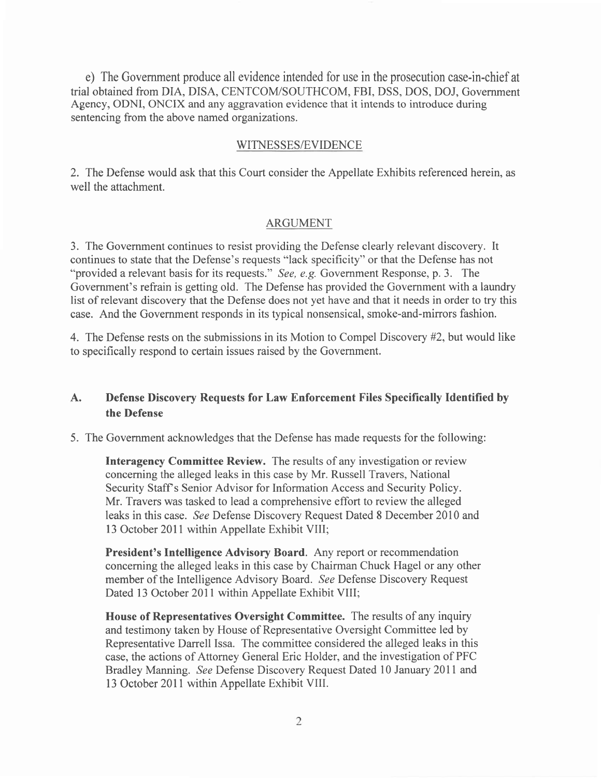e) The Government produce all evidence intended for use in the prosecution case-in-chief at trial obtained from DIA, DISA, CENTCOM/SOUTHCOM, FBI, DSS, DOS, DOJ, Government Agency, ODNI, ONCIX and any aggravation evidence that it intends to introduce during sentencing from the above named organizations.

### WITNESSES/EVIDENCE

2. The Defense would ask that this Court consider the Appellate Exhibits referenced herein, as well the attachment.

## ARGUMENT

3. The Government continues to resist providing the Defense clearly relevant discovery. It continues to state that the Defense's requests "lack specificity" or that the Defense has not "provided a relevant basis for its requests." See, e.g. Government Response, p. 3. The Government's refrain is getting old. The Defense has provided the Government with a laundry list of relevant discovery that the Defense does not yet have and that it needs in order to try this case. And the Government responds in its typical nonsensical, smoke-and-mirrors fashion.

4. The Defense rests on the submissions in its Motion to Compel Discovery #2, but would like to specifically respond to certain issues raised by the Government.

## A. Defense Discovery Requests for Law Enforcement Files Specifically ldentified by the Defense

5. The Government acknowledges that the Defense has made requests for the following:

Interagency Committee Review. The results of any investigation or review concerning the alleged leaks in this case by Mr. Russell Travers, National Security Staff's Senior Advisor for Information Access and Security Policy. Mr. Travers was tasked to lead a comprehensive effort to review the alleged leaks in this case. See Defense Discovery Request Dated 8 December 2010 and 13 October 2011 within Appellate Exhibit VIII;

President's Intelligence Advisory Board. Any report or recommendation concerning the alleged leaks in this case by Chairman Chuck Hagel or any other member of the Intelligence Advisory Board. See Defense Discovery Request Dated 13 October 2011 within Appellate Exhibit VIII;

House of Representatives Oversight Committee. The results of any inquiry and testimony taken by House of Representative Oversight Committee led by Representative Darrell Issa. The committee considered the alleged leaks in this case, the actions of Attorney General Eric Holder, and the investigation of PFC Bradley Manning. See Defense Discovery Request Dated 10 January 2011 and 13 October 2011 within Appellate Exhibit VIII.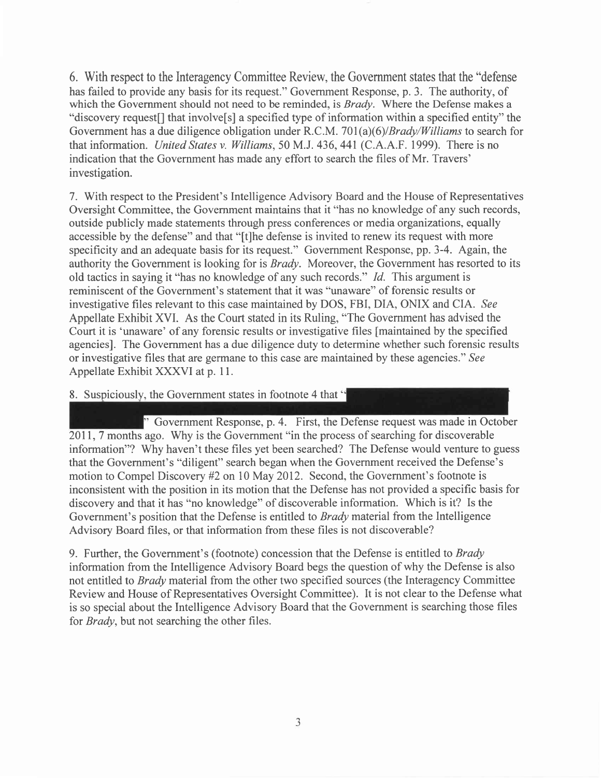6. With respect to the Interagency Committee Review, the Government states that the "defense has failed to provide any basis for its request." Government Response, p. 3. The authority, of which the Government should not need to be reminded, is *Brady*. Where the Defense makes a "discovery request[] that involve[s] a specified type of information within a specified entity" the Government has a due diligence obligation under R.C.M. 701(a)(6)/*Brady/Williams* to search for that information. United States v. Williams, 50 M.J. 436, 441 (C.A.A.F. 1999). There is no indication that the Government has made anv effort to search the files of Mr. Travers' investigation.

7. With respect to the President's Intelligence Advisory Board and the House of Representatives Oversight Committee, the Government maintains that it "has no knowledge of any such records, outside publicly made statements through press conferences or media organizations, equally accessible by the defense" and that "[t]he defense is invited to renew its request with more specificity and an adequate basis for its request." Government Response, pp.3-4. Again, the authority the Government is looking for is Brady. Moreover, the Government has resorted to its old tactics in saying it "has no knowledge of any such records." Id. This argument is reminiscent of the Government's statement that it was "unaware" of forensic results or investigative files relevant to this case maintained by DOS, FBI, DIA, ONIX and CIA. See Appellate Exhibit XVI. As the Court stated in its Ruling, "The Government has advised the Court it is 'unaware' of any forensic results or investigative files [maintained by the specified agencies]. The Government has a due diligence duty to determine whether such forensic results or investigative files that are gerrnane to this case are maintained by these agencies." See Appellate Exhibit XXXVI at p. 11.

8. Suspiciously, the Government states in footnote 4 that'

Government Response, p.4. First, the Defense request was made in October 2011, 7 months ago. Why is the Government "in the process of searching for discoverable information"? Why haven't these files yet been searched? The Defense would venture to guess that the Government's "diligent" search began when the Government received the Defense's motion to Compel Discovery #2 on 10 May 2012. Second, the Government's footnote is inconsistent with the position in its motion that the Defense has not provided a specific basis for discovery and that it has "no knowledge" of discoverable information. Which is it? Is the Government's position that the Defense is entitled to *Brady* material from the Intelligence Advisory Board files, or that information from these files is not discoverable?

9. Further, the Government's (footnote) concession that the Defense is entitled to *Brady* information from the Intelligence Advisory Board begs the question of why the Defense is also not entitled to *Brady* material from the other two specified sources (the Interagency Committee Review and House of Representatives Oversight Committee). It is not clear to the Defense what is so special about the Intelligence Advisory Board that the Government is searching those files for *Brady*, but not searching the other files.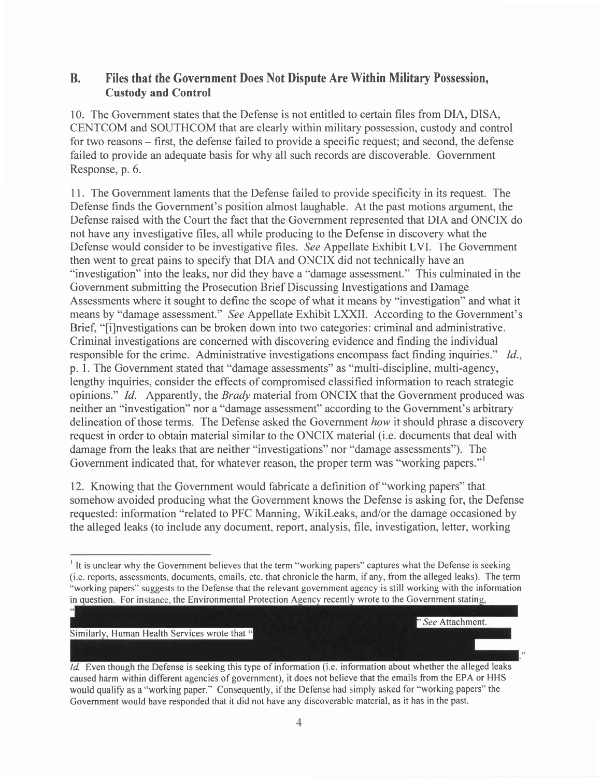# B. Files that the Government Does Not Dispute Are Within Military Possession, Custody and Control

10. The Government states that the Defense is not entitled to certain files from DIA, DISA, CENTCOM and SOUTHCOM that are clearly within military possession, custody and control for two reasons – first, the defense failed to provide a specific request; and second, the defense failed to provide an adequate basis for why all such records are discoverable. Government Response, p. 6.

I 1. The Government laments that the Defense failed to provide specificity in its request. The Defense finds the Government's position almost laughable. At the past motions argument, the Defense raised with the Court the fact that the Government represented that DIA and ONCIX do not have any investigative files, all while producing to the Defense in discovery what the Defense would consider to be investigative files. See Appellate Exhibit LVI. The Government then went to great pains to specify that DIA and ONCIX did not technically have an "investigation" into the leaks, nor did they have a"damage assessment." This culminated in the Government submitting the Prosecution Brief Discussing Investigations and Damage Assessments where it sought to define the scope of what it means by "investigation" and what it means by "damage assessment." See Appellate Exhibit LXXII. According to the Government's Brief, "[i]nvestigations can be broken down into two categories: criminal and administrative. Criminal investigations are concerned with discovering evidence and finding the individual responsible for the crime. Administrative investigations encompass fact finding inquiries." Id., p. l. The Government stated that "damage assessments" as "multi-discipline, multi-agency, lengthy inquiries, consider the effects of compromised classified information to reach strategic opinions." *Id.* Apparently, the *Brady* material from ONCIX that the Government produced was neither an "investigation" nor a"damage assessment" according to the Government's arbitrary delineation of those terms. The Defense asked the Government how it should phrase a discovery request in order to obtain material similar to the ONCIX material (i.e. documents that deal with damage from the leaks that are neither "investigations" nor "damage assessments"). The Government indicated that, for whatever reason, the proper term was "working papers."

12. Knowing that the Government would fabricate a definition of "working papers" that somehow avoided producing what the Government knows the Defense is asking for, the Defense requested: information "related to PFC Manning, Wikileaks, and/or the damage occasioned by the alleged leaks (to include any document, report, analysis, file, investigation, letter, working

See Attachment.

 $\vert$  "

Similarly, Human Health Services wrote that "

Id. Even though the Defense is seeking this type of information (i.e. information about whether the alleged leaks caused harm within different agencies of government), it does not believe that the emails from the EPA or HHS would qualify as a "working paper." Consequently, if the Defense had simply asked for "working papers" the Government would have responded that it did not have any discoverable material, as it has in the past.

<sup>&#</sup>x27; It is unclear why the Government believes that the term "working papers" captures what the Defense is seeking (i.e. reports, assessments, documents, emails, etc. that chronicle the harm, if any, from the alleged leaks). The term "working papers" suggests to the Defense that the relevant government agency is still working with the information in question. For instance, the Environmental Protection Agency recently wrote to the Government stating,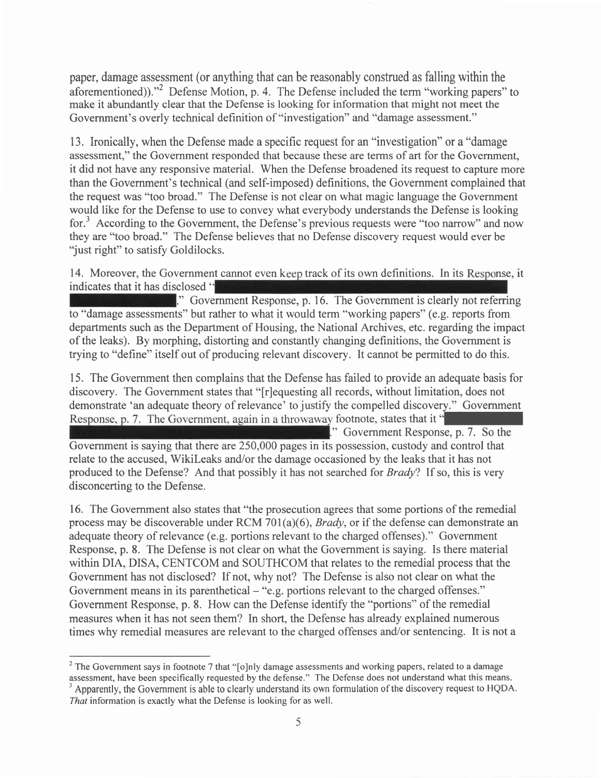paper, damage assessment (or anything that can be reasonably construed as falling within the aforementioned))."<sup>2</sup> Defense Motion, p. 4. The Defense included the term "working papers" to make it abundantly clear that the Defense is looking for information that might not meet the Government's overly technical definition of "investigation" and "damage assessment."

13. Ironically, when the Defense made a specific request for an "investigation" or a "damage assessment," the Government responded that because these are terms of art for the Government, it did not have any responsive material. When the Defense broadened its request to capture more than the Government's technical (and self-imposed) definitions, the Government complained that the request was "too broad." The Defense is not clear on what magic language the Government would like for the Defense to use to convey what everybody understands the Defense is looking for.<sup>3</sup> According to the Government, the Defense's previous requests were "too narrow" and now they are "too broad." The Defense believes that no Defense discovery request would ever be "just right" to satisfy Goldilocks.

14. Moreover, the Government cannot even keep track of its own definitions. In its Response, it indicates that it has disclosed'

<sup>2</sup> Government Response, p. 16. The Government is clearly not referring to "damage assessments" but rather to what it would term "working papers" (e.g. reports from departments such as the Department of Housing, the National Archives, etc. regarding the impact of the leaks). By morphing, distorting and constantly changing definitions, the Government is trying to "define" itself out of producing relevant discovery. It cannot be permitted to do this.

15. The Government then complains that the Defense has failed to provide an adequate basis for discovery. The Government states that "[r]equesting all records, without limitation, does not demonstrate 'an adequate theory of relevance' to justify the compelled discovery." Government Response, p. 7. The Government, again in a throwaway footnote, states that it "

." Government Response, p.7 . So the

Government is saying that there are 250,000 pages in its possession, custody and control that relate to the accused, Wikileaks and/or the damage occasioned by the leaks that it has not produced to the Defense? And that possibly it has not searched for *Brady*? If so, this is very disconcerting to the Defense.

16. The Government also states that "the prosecution agrees that some portions of the remedial process may be discoverable under RCM 701(a)(6), *Brady*, or if the defense can demonstrate an adequate theory of relevance (e.g. portions relevant to the charged offenses)." Government Response, p. 8. The Defense is not clear on what the Government is saying. Is there material within DIA, DISA, CENTCOM and SOUTHCOM that relates to the remedial process that the Government has not disclosed? If not, why not? The Defense is also not clear on what the Government means in its parenthetical – "e.g. portions relevant to the charged offenses." Government Response, p. 8. How can the Defense identify the "portions" of the remedial measures when it has not seen them? In short, the Defense has already explained numerous times why remedial measures are relevant to the charged offenses and/or sentencing. It is not a

 $2$  The Government says in footnote 7 that "[o]nly damage assessments and working papers, related to a damage assessment, have been specifically requested by the defense." The Defense does not understand what this means.

 $3$  Apparently, the Government is able to clearly understand its own formulation of the discovery request to HQDA. That information is exactly what the Defense is looking for as well.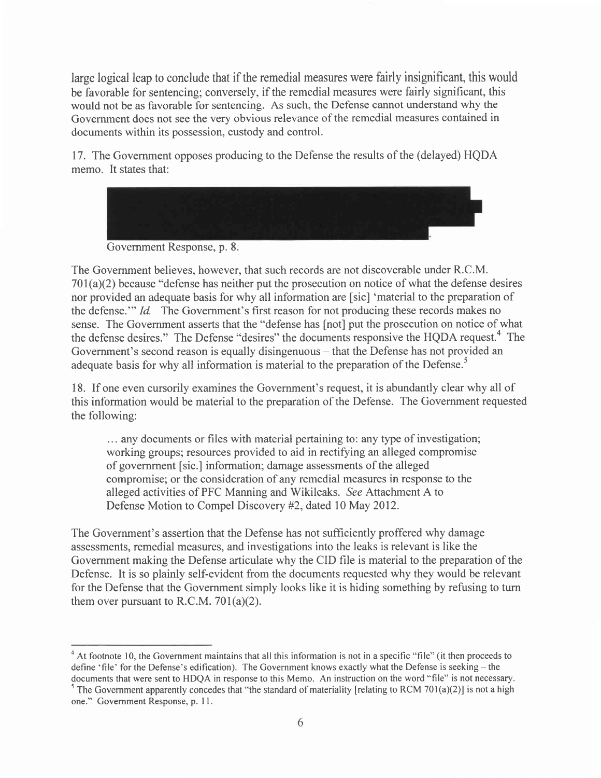large logical leap to conclude that if the remedial measures were fairly insignificant, this would be favorable for sentencing; conversely, if the remedial measures were fairly significant, this would not be as favorable for sentencing. As such, the Defense cannot understand why the Government does not see the very obvious relevance of the remedial measures contained in documents within its possession, custody and control.

<sup>17</sup>. The Government opposes producing to the Defense the results of the (delayed) HQDA memo. It states that:



Government Response, p. 8.

The Government believes, however, that such records are not discoverable under R.C.M. 701(a)(2) because "defense has neither put the prosecution on notice of what the defense desires nor provided an adequate basis for why all information are [sic] 'material to the preparation of the defense." Id. The Government's first reason for not producing these records makes no sense. The Government asserts that the "defense has [not] put the prosecution on notice of what the defense desires." The Defense "desires" the documents responsive the HQDA request. $4$  The Government's second reason is equally disingenuous – that the Defense has not provided an adequate basis for why all information is material to the preparation of the Defense.<sup>5</sup>

18. If one even cursorily examines the Government's request, it is abundantly clear why all of this information would be material to the preparation of the Defense. The Government requested the following:

...any documents or files with material pertaining to: any type of investigation; working groups; resources provided to aid in rectifying an alleged compromise of governrnent [sic.] information; damage assessments of the alleged compromise; or the consideration of any remedial measures in response to the alleged activities of PFC Manning and Wikileaks. See Attachment A to Defense Motion to Compel Discovery #2, dated l0 May 2012.

The Government's assertion that the Defense has not sufficiently proffered why damage assessments, remedial measures, and investigations into the leaks is relevant is like the Government making the Defense articulate why the CID file is material to the preparation of the Defense. It is so plainly self-evident from the documents requested why they would be relevant for the Defense that the Government simply looks like it is hiding something by refusing to turn them over pursuant to R.C.M.  $701(a)(2)$ .

 $4$  At footnote 10, the Government maintains that all this information is not in a specific "file" (it then proceeds to define 'file' for the Defense's edification). The Government knows exactly what the Defense is seeking - the documents that were sent to HDQA in response to this Memo. An instruction on the word "file" is not necessary.

<sup>&</sup>lt;sup>5</sup> The Government apparently concedes that "the standard of materiality [relating to RCM 701(a)(2)] is not a high one." Government Response, p. I l.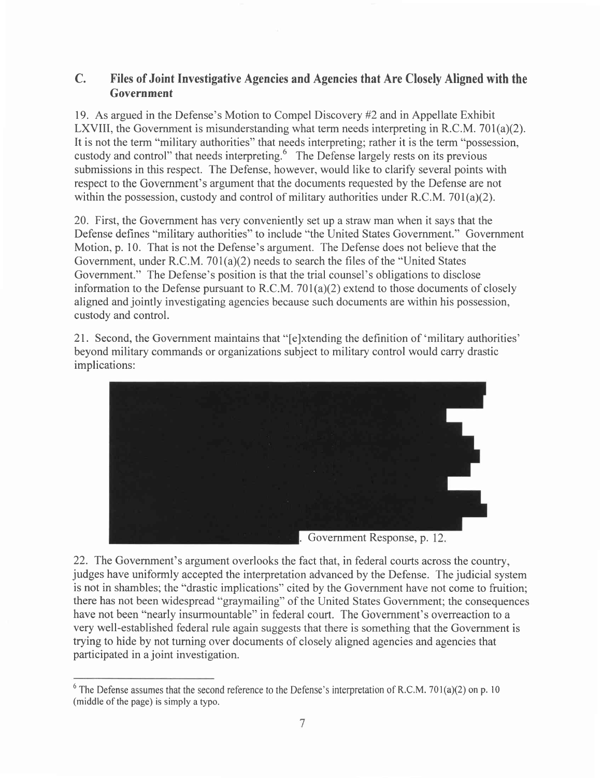# C. Files of Joint Investigative Agencies and Agencies that Are Closely Aligned with the Government

19. As argued in the Defense's Motion to Compel Discovery #2 and in Appellate Exhibit LXVIII, the Government is misunderstanding what term needs interpreting in R.C.M. 701(a)(2). It is not the term "military authorities" that needs interpreting; rather it is the term "possession, custody and control" that needs interpreting.<sup>6</sup> The Defense largely rests on its previous submissions in this respect. The Defense, however, would like to clarify several points with respect to the Government's argument that the documents requested by the Defense are not within the possession, custody and control of military authorities under R.C.M. 701(a)(2).

20. First, the Government has very conveniently set up a straw man when it says that the Defense defines "military authorities" to include "the United States Government." Government Motion, p. 10. That is not the Defense's argument. The Defense does not believe that the Government, under R.C.M.70l(a)(2) needs to search the files of the "United States Government." The Defense's position is that the trial counsel's obligations to disclose information to the Defense pursuant to R.C.M.  $701(a)(2)$  extend to those documents of closely aligned and jointly investigating agencies because such documents are within his possession, custody and control.

21. Second, the Government maintains that "[e]xtending the definition of 'military authorities' beyond military commands or organizations subject to military control would carry drastic implications:



22. The Government's argument overlooks the fact that, in federal courts across the country, judges have uniformly accepted the interpretation advanced by the Defense. The judicial system is not in shambles; the "drastic implications" cited by the Government have not come to fruition; there has not been widespread "graymailing" of the United States Government; the consequences have not been "nearly insurmountable" in federal court. The Government's overreaction to a very well-established federal rule again suggests that there is something that the Government is trying to hide by not turning over documents of closely aligned agencies and agencies that participated in a joint investigation.

 $6$  The Defense assumes that the second reference to the Defense's interpretation of R.C.M. 701(a)(2) on p. 10 (middle of the page) is simply a typo.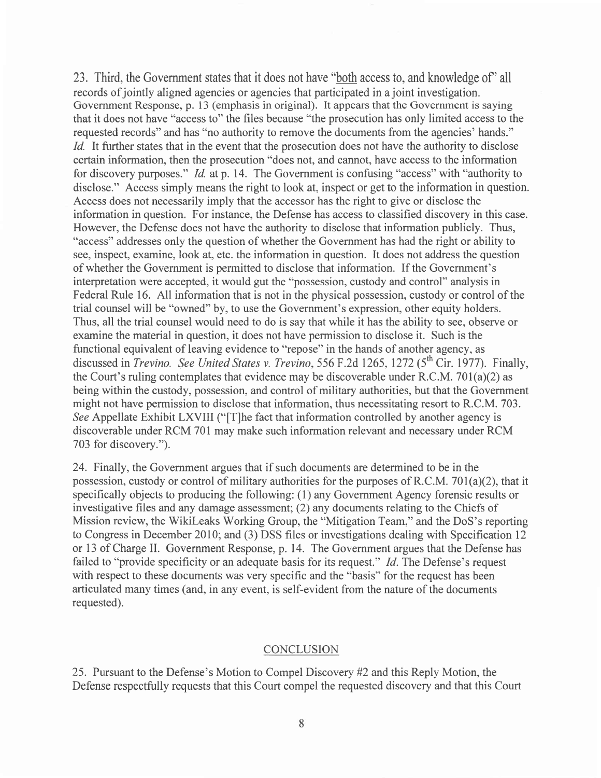23. Third, the Government states that it does not have "both access to, and knowledge of' all records of jointly aligned agencies or agencies that participated in a joint investigation. Government Response, p. l3 (emphasis in original). It appears that the Government is saying that it does not have "access to" the files because "the prosecution has only limited access to the requested records" and has "no authority to remove the documents from the agencies' hands." Id. It further states that in the event that the prosecution does not have the authority to disclose certain information, then the prosecution "does not, and cannot, have access to the information for discovery purposes." *Id.* at p. 14. The Government is confusing "access" with "authority to disclose." Access simply means the right to look at, inspect or get to the information in question. Access does not necessarily imply that the accessor has the right to give or disclose the information in question. For instance, the Defense has access to classified discovery in this case. However, the Defense does not have the authority to disclose that information publicly. Thus, "access" addresses only the question of whether the Government has had the right or ability to see, inspect, examine, look at, etc. the information in question. It does not address the question of whether the Government is permitted to disclose that information. If the Government's interpretation were accepted, it would gut the "possession, custody and control" analysis in Federal Rule 16. All information that is not in the physical possession, custody or control of the trial counsel will be "owned" by, to use the Government's expression, other equity holders. Thus, all the trial counsel would need to do is say that while it has the ability to see, observe or examine the material in question, it does not have permission to disclose it. Such is the functional equivalent of leaving evidence to "repose" in the hands of another agency, as discussed in *Trevino. See United States v. Trevino*, 556 F.2d 1265, 1272 ( $5<sup>th</sup> Cir.$  1977). Finally, the Court's ruling contemplates that evidence may be discoverable under R.C.M. 701(a)(2) as being within the custody, possession, and control of military authorities, but that the Government might not have permission to disclose that information, thus necessitating resort to R.C.M . 703. See Appellate Exhibit LXVIII ("[T]he fact that information controlled by another agency is discoverable under RCM 701 mav make such information relevant and necessary under RCM 703 for discovery.").

24. Finally, the Government argues that if such documents are determined to be in the possession, custody or control of military authorities for the purposes of R.C.M.70l(a)(2), that it specifically objects to producing the following: (l) any Government Agency forensic results or investigative files and any damage assessment; (2) any documents relating to the Chiefs of Mission review, the Wikileaks Working Group, the "Mitigation Team," and the DoS's reporting to Congress in December 2010; and (3) DSS files or investigations dealing with Specification 12 or l3 of Charge II. Government Response, p. 14. The Government argues that the Defense has failed to "provide specificity or an adequate basis for its request." Id. The Defense's request with respect to these documents was very specific and the "basis" for the request has been articulated many times (and, in any event, is self-evident from the nature of the documents requested).

#### **CONCLUSION**

25. Pursuant to the Defense's Motion to Compel Discovery #2 and this Reply Motion, the Defense respectfully requests that this Court compel the requested discovery and that this Court